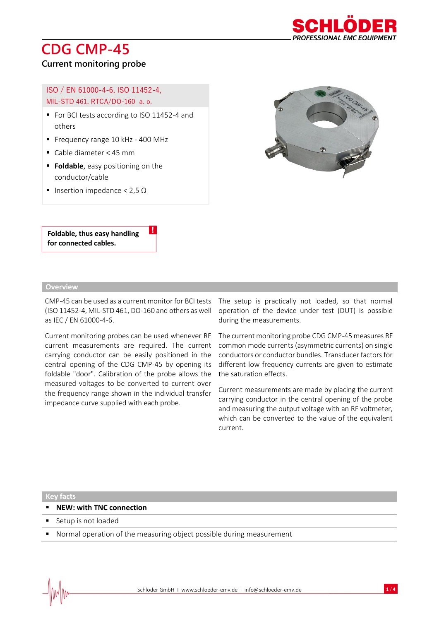## **CDG CMP-45**



### **Current monitoring probe**

### ISO / EN 61000-4-6, ISO 11452-4, MIL-STD 461, RTCA/DO-160 a. o.

- For BCI tests according to ISO 11452-4 and others
- Frequency range 10 kHz 400 MHz
- Cable diameter < 45 mm
- **Foldable**, easy positioning on the conductor/cable
- Insertion impedance < 2,5 Ω

**Foldable, thus easy handling for connected cables.** 

### **Overview**

CMP-45 can be used as a current monitor for BCI tests (ISO 11452-4, MIL-STD 461, DO-160 and others as well as IEC / EN 61000-4-6.

!

Current monitoring probes can be used whenever RF current measurements are required. The current carrying conductor can be easily positioned in the central opening of the CDG CMP-45 by opening its foldable "door". Calibration of the probe allows the measured voltages to be converted to current over the frequency range shown in the individual transfer impedance curve supplied with each probe.

The setup is practically not loaded, so that normal operation of the device under test (DUT) is possible during the measurements.

The current monitoring probe CDG CMP-45 measures RF common mode currents (asymmetric currents) on single conductors or conductor bundles. Transducer factors for different low frequency currents are given to estimate the saturation effects.

Current measurements are made by placing the current carrying conductor in the central opening of the probe and measuring the output voltage with an RF voltmeter, which can be converted to the value of the equivalent current.

#### **Key facts**

- **NEW: with TNC connection**
- Setup is not loaded
- Normal operation of the measuring object possible during measurement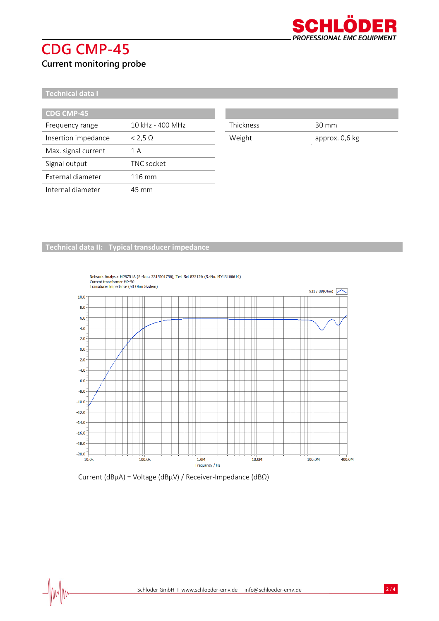# **CDG CMP-45**



**Current monitoring probe**

### **Technical data I**

 $\frac{1}{2}$ 

| <b>CDG CMP-45</b>   |                  |
|---------------------|------------------|
| Frequency range     | 10 kHz - 400 MHz |
| Insertion impedance | $< 2.5 \Omega$   |
| Max. signal current | 1 A              |
| Signal output       | TNC socket       |
| External diameter   | $116 \text{ mm}$ |
| Internal diameter   | 45 mm            |

| <b>Thickness</b> | $30 \text{ mm}$ |
|------------------|-----------------|

Weight approx. 0,6 kg

### **Technical data II: Typical transducer impedance**



# Network Analyser HP8751A (S.-No.: 3315J01756), Test Set 87512A (S.-No. MY43100614)<br>Current transformer MP-50<br>Transducer impedance (50 Ohm System)

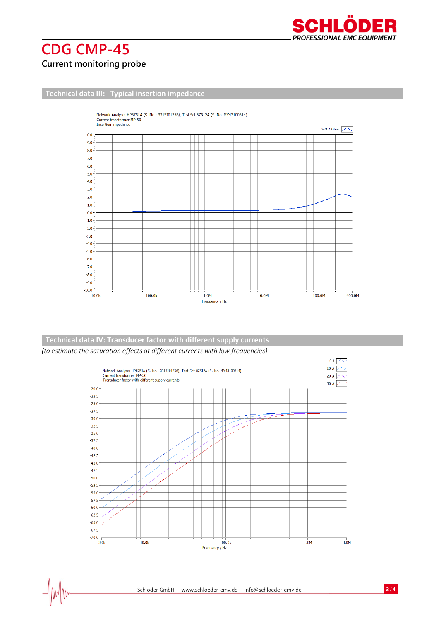

### **CDG CMP-45 Current monitoring probe**

 $\frac{1}{2}$ 

### **Technical data III: Typical insertion impedance**



### **Technical data IV: Transducer factor with different supply currents**

*(to estimate the saturation effects at different currents with low frequencies)*